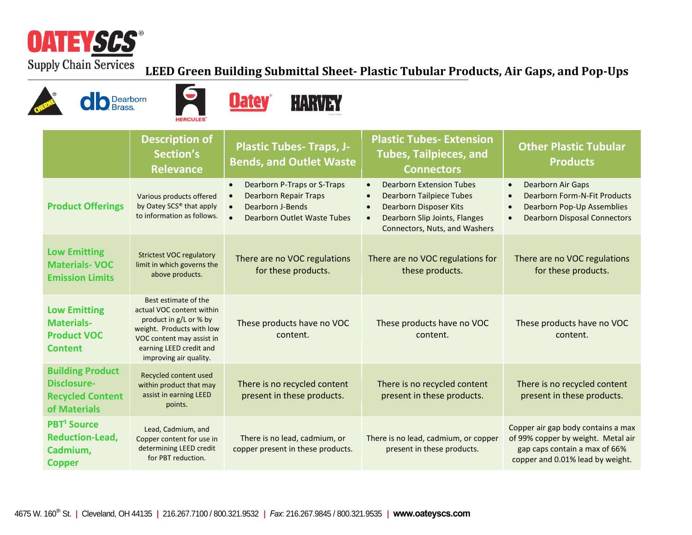

 $\sqrt{2}$ 

## **LEED Green Building Submittal Sheet- Plastic Tubular Products, Air Gaps, and Pop-Ups**

| Dearborn<br><b>HERCULES</b>                                                          |                                                                                                                                                                                            | Jatev<br>HARVEY                                                                                                                                                    |                                                                                                                                                                             |                                                                                                                                               |
|--------------------------------------------------------------------------------------|--------------------------------------------------------------------------------------------------------------------------------------------------------------------------------------------|--------------------------------------------------------------------------------------------------------------------------------------------------------------------|-----------------------------------------------------------------------------------------------------------------------------------------------------------------------------|-----------------------------------------------------------------------------------------------------------------------------------------------|
|                                                                                      | <b>Description of</b><br>Section's<br><b>Relevance</b>                                                                                                                                     | <b>Plastic Tubes- Traps, J-</b><br><b>Bends, and Outlet Waste</b>                                                                                                  | <b>Plastic Tubes- Extension</b><br><b>Tubes, Tailpieces, and</b><br><b>Connectors</b>                                                                                       | <b>Other Plastic Tubular</b><br><b>Products</b>                                                                                               |
| <b>Product Offerings</b>                                                             | Various products offered<br>by Oatey SCS® that apply<br>to information as follows.                                                                                                         | Dearborn P-Traps or S-Traps<br>$\bullet$<br><b>Dearborn Repair Traps</b><br>$\bullet$<br>Dearborn J-Bends<br>$\bullet$<br>$\bullet$<br>Dearborn Outlet Waste Tubes | <b>Dearborn Extension Tubes</b><br><b>Dearborn Tailpiece Tubes</b><br>Dearborn Disposer Kits<br>Dearborn Slip Joints, Flanges<br>$\bullet$<br>Connectors, Nuts, and Washers | Dearborn Air Gaps<br>$\bullet$<br><b>Dearborn Form-N-Fit Products</b><br>Dearborn Pop-Up Assemblies<br><b>Dearborn Disposal Connectors</b>    |
| <b>Low Emitting</b><br><b>Materials-VOC</b><br><b>Emission Limits</b>                | <b>Strictest VOC regulatory</b><br>limit in which governs the<br>above products.                                                                                                           | There are no VOC regulations<br>for these products.                                                                                                                | There are no VOC regulations for<br>these products.                                                                                                                         | There are no VOC regulations<br>for these products.                                                                                           |
| <b>Low Emitting</b><br><b>Materials-</b><br><b>Product VOC</b><br><b>Content</b>     | Best estimate of the<br>actual VOC content within<br>product in g/L or % by<br>weight. Products with low<br>VOC content may assist in<br>earning LEED credit and<br>improving air quality. | These products have no VOC<br>content.                                                                                                                             | These products have no VOC<br>content.                                                                                                                                      | These products have no VOC<br>content.                                                                                                        |
| <b>Building Product</b><br>Disclosure-<br><b>Recycled Content</b><br>of Materials    | Recycled content used<br>within product that may<br>assist in earning LEED<br>points.                                                                                                      | There is no recycled content<br>present in these products.                                                                                                         | There is no recycled content<br>present in these products.                                                                                                                  | There is no recycled content<br>present in these products.                                                                                    |
| <b>PBT<sup>1</sup></b> Source<br><b>Reduction-Lead,</b><br>Cadmium,<br><b>Copper</b> | Lead, Cadmium, and<br>Copper content for use in<br>determining LEED credit<br>for PBT reduction.                                                                                           | There is no lead, cadmium, or<br>copper present in these products.                                                                                                 | There is no lead, cadmium, or copper<br>present in these products.                                                                                                          | Copper air gap body contains a max<br>of 99% copper by weight. Metal air<br>gap caps contain a max of 66%<br>copper and 0.01% lead by weight. |